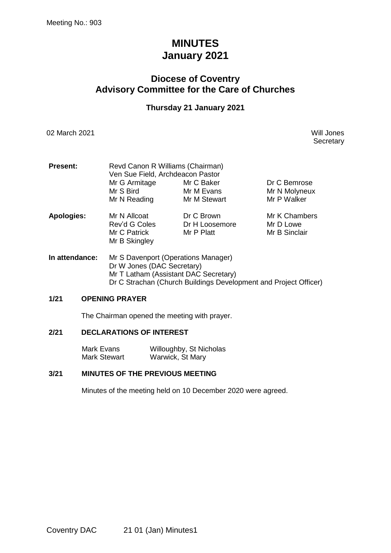# **MINUTES January 2021**

# **Diocese of Coventry Advisory Committee for the Care of Churches**

### **Thursday 21 January 2021**

02 March 2021 Will Jones

**Secretary** 

| <b>Present:</b>   | Revd Canon R Williams (Chairman)<br>Ven Sue Field, Archdeacon Pastor |                                            |                                              |  |  |
|-------------------|----------------------------------------------------------------------|--------------------------------------------|----------------------------------------------|--|--|
|                   | Mr G Armitage<br>Mr S Bird<br>Mr N Reading                           | Mr C Baker<br>Mr M Evans<br>Mr M Stewart   | Dr C Bemrose<br>Mr N Molyneux<br>Mr P Walker |  |  |
| <b>Apologies:</b> | Mr N Allcoat<br>Rev'd G Coles<br>Mr C Patrick<br>Mr B Skingley       | Dr C Brown<br>Dr H Loosemore<br>Mr P Platt | Mr K Chambers<br>Mr D Lowe<br>Mr B Sinclair  |  |  |

**In attendance:** Mr S Davenport (Operations Manager) Dr W Jones (DAC Secretary) Mr T Latham (Assistant DAC Secretary) Dr C Strachan (Church Buildings Development and Project Officer)

### **1/21 OPENING PRAYER**

The Chairman opened the meeting with prayer.

### **2/21 DECLARATIONS OF INTEREST**

Mark Evans Willoughby, St Nicholas Mark Stewart Warwick, St Mary

### **3/21 MINUTES OF THE PREVIOUS MEETING**

Minutes of the meeting held on 10 December 2020 were agreed.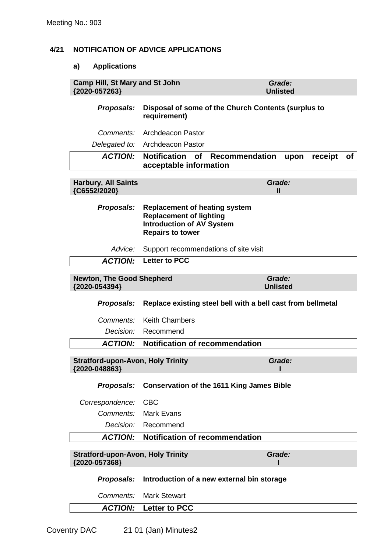## **4/21 NOTIFICATION OF ADVICE APPLICATIONS**

### **a) Applications**

| <b>Camp Hill, St Mary and St John</b><br>{2020-057263}    |                                                                                                                                       | Grade:<br><b>Unlisted</b> |  |  |  |
|-----------------------------------------------------------|---------------------------------------------------------------------------------------------------------------------------------------|---------------------------|--|--|--|
| Proposals:                                                | Disposal of some of the Church Contents (surplus to<br>requirement)                                                                   |                           |  |  |  |
| <i>Comments:</i>                                          | <b>Archdeacon Pastor</b>                                                                                                              |                           |  |  |  |
|                                                           | Delegated to: Archdeacon Pastor                                                                                                       |                           |  |  |  |
| <b>ACTION:</b>                                            | <b>Notification</b><br><b>Recommendation</b><br><b>of</b><br>acceptable information                                                   | upon<br>receipt<br>of     |  |  |  |
| <b>Harbury, All Saints</b><br>{C6552/2020}                | Grade:<br>Ш                                                                                                                           |                           |  |  |  |
| Proposals:                                                | <b>Replacement of heating system</b><br><b>Replacement of lighting</b><br><b>Introduction of AV System</b><br><b>Repairs to tower</b> |                           |  |  |  |
| Advice:                                                   | Support recommendations of site visit                                                                                                 |                           |  |  |  |
| <b>ACTION:</b>                                            | <b>Letter to PCC</b>                                                                                                                  |                           |  |  |  |
| <b>Newton, The Good Shepherd</b><br>{2020-054394}         |                                                                                                                                       | Grade:<br><b>Unlisted</b> |  |  |  |
|                                                           |                                                                                                                                       |                           |  |  |  |
| Proposals:                                                | Replace existing steel bell with a bell cast from bellmetal                                                                           |                           |  |  |  |
| <i>Comments:</i>                                          | <b>Keith Chambers</b>                                                                                                                 |                           |  |  |  |
| Decision:                                                 | Recommend                                                                                                                             |                           |  |  |  |
| <b>ACTION:</b>                                            | <b>Notification of recommendation</b>                                                                                                 |                           |  |  |  |
| <b>Stratford-upon-Avon, Holy Trinity</b><br>{2020-048863} |                                                                                                                                       | Grade:                    |  |  |  |
|                                                           | Proposals: Conservation of the 1611 King James Bible                                                                                  |                           |  |  |  |
| Correspondence:                                           | <b>CBC</b>                                                                                                                            |                           |  |  |  |
| Comments:                                                 | <b>Mark Evans</b>                                                                                                                     |                           |  |  |  |
|                                                           | Decision: Recommend                                                                                                                   |                           |  |  |  |
| <b>ACTION:</b>                                            | <b>Notification of recommendation</b>                                                                                                 |                           |  |  |  |
| <b>Stratford-upon-Avon, Holy Trinity</b><br>{2020-057368} |                                                                                                                                       | Grade:                    |  |  |  |
| Proposals:                                                | Introduction of a new external bin storage                                                                                            |                           |  |  |  |
| Comments:                                                 | <b>Mark Stewart</b>                                                                                                                   |                           |  |  |  |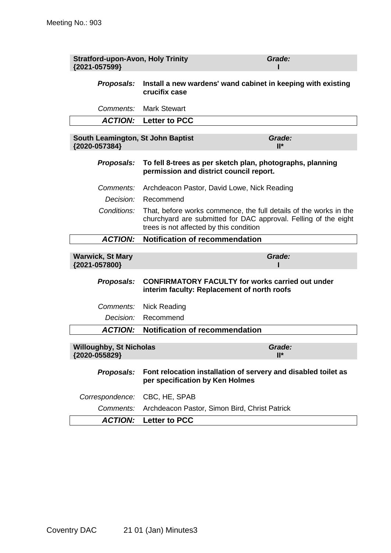| <b>Stratford-upon-Avon, Holy Trinity</b><br>{2021-057599} | Grade:                                                                                                                                                                          |  |  |  |
|-----------------------------------------------------------|---------------------------------------------------------------------------------------------------------------------------------------------------------------------------------|--|--|--|
| Proposals:                                                | Install a new wardens' wand cabinet in keeping with existing<br>crucifix case                                                                                                   |  |  |  |
| Comments:                                                 | <b>Mark Stewart</b>                                                                                                                                                             |  |  |  |
| <b>ACTION:</b>                                            | <b>Letter to PCC</b>                                                                                                                                                            |  |  |  |
| South Leamington, St John Baptist<br>{2020-057384}        | Grade:<br>$II^*$                                                                                                                                                                |  |  |  |
| Proposals:                                                | To fell 8-trees as per sketch plan, photographs, planning<br>permission and district council report.                                                                            |  |  |  |
| Comments:                                                 | Archdeacon Pastor, David Lowe, Nick Reading                                                                                                                                     |  |  |  |
| Decision:                                                 | Recommend                                                                                                                                                                       |  |  |  |
| Conditions:                                               | That, before works commence, the full details of the works in the<br>churchyard are submitted for DAC approval. Felling of the eight<br>trees is not affected by this condition |  |  |  |
| <b>ACTION:</b>                                            | <b>Notification of recommendation</b>                                                                                                                                           |  |  |  |
| <b>Warwick, St Mary</b><br>{2021-057800}                  | Grade:                                                                                                                                                                          |  |  |  |
| Proposals:                                                | <b>CONFIRMATORY FACULTY for works carried out under</b><br>interim faculty: Replacement of north roofs                                                                          |  |  |  |
| Comments:                                                 | Nick Reading                                                                                                                                                                    |  |  |  |
| Decision:                                                 | Recommend                                                                                                                                                                       |  |  |  |
| <b>ACTION:</b>                                            | <b>Notification of recommendation</b>                                                                                                                                           |  |  |  |
| <b>Willoughby, St Nicholas</b><br>{2020-055829}           | Grade:<br>$II^*$                                                                                                                                                                |  |  |  |
| Proposals:                                                | Font relocation installation of servery and disabled toilet as<br>per specification by Ken Holmes                                                                               |  |  |  |
| Correspondence:                                           | CBC, HE, SPAB                                                                                                                                                                   |  |  |  |
| Comments:                                                 | Archdeacon Pastor, Simon Bird, Christ Patrick                                                                                                                                   |  |  |  |
| <b>ACTION:</b>                                            | <b>Letter to PCC</b>                                                                                                                                                            |  |  |  |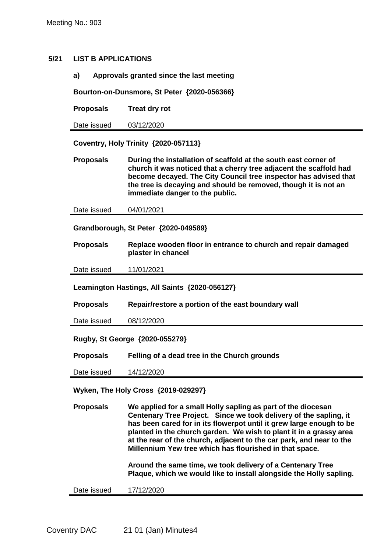### **5/21 LIST B APPLICATIONS**

**a) Approvals granted since the last meeting**

**Bourton-on-Dunsmore, St Peter {2020-056366}**

**Proposals Treat dry rot**

Date issued 03/12/2020

**Coventry, Holy Trinity {2020-057113}**

**Proposals During the installation of scaffold at the south east corner of church it was noticed that a cherry tree adjacent the scaffold had become decayed. The City Council tree inspector has advised that the tree is decaying and should be removed, though it is not an immediate danger to the public.**

Date issued 04/01/2021

**Grandborough, St Peter {2020-049589}**

**Proposals Replace wooden floor in entrance to church and repair damaged plaster in chancel**

Date issued 11/01/2021

**Leamington Hastings, All Saints {2020-056127}**

**Proposals Repair/restore a portion of the east boundary wall**

Date issued 08/12/2020

**Rugby, St George {2020-055279}**

**Proposals Felling of a dead tree in the Church grounds**

Date issued 14/12/2020

**Wyken, The Holy Cross {2019-029297}**

**Proposals We applied for a small Holly sapling as part of the diocesan Centenary Tree Project. Since we took delivery of the sapling, it has been cared for in its flowerpot until it grew large enough to be planted in the church garden. We wish to plant it in a grassy area at the rear of the church, adjacent to the car park, and near to the Millennium Yew tree which has flourished in that space.** 

> **Around the same time, we took delivery of a Centenary Tree Plaque, which we would like to install alongside the Holly sapling.**

Date issued 17/12/2020